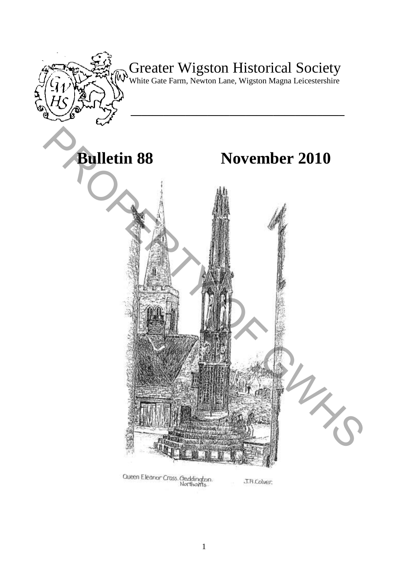

Oueen Eleanor Cross. Geddington.<br>· Northants

J.R.Colver: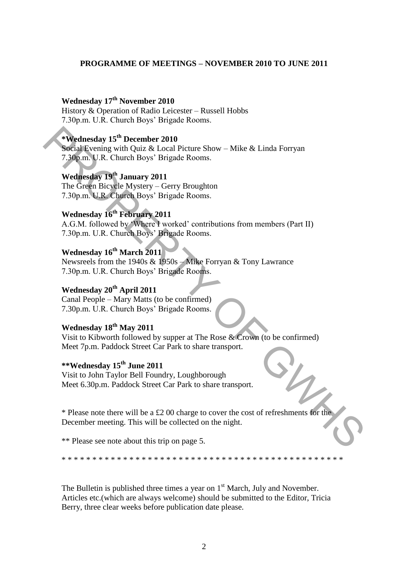#### **PROGRAMME OF MEETINGS – NOVEMBER 2010 TO JUNE 2011**

## **Wednesday 17th November 2010**

History & Operation of Radio Leicester – Russell Hobbs 7.30p.m. U.R. Church Boys' Brigade Rooms.

## **\*Wednesday 15th December 2010**

Social Evening with Quiz & Local Picture Show – Mike & Linda Forryan 7.30p.m. U.R. Church Boys' Brigade Rooms.

## **Wednesday 19th January 2011**

The Green Bicycle Mystery – Gerry Broughton 7.30p.m. U.R. Church Boys' Brigade Rooms.

## **Wednesday 16th February 2011**

A.G.M. followed by 'Where I worked' contributions from members (Part II) 7.30p.m. U.R. Church Boys' Brigade Rooms.

## **Wednesday 16th March 2011**

Newsreels from the 1940s & 1950s – Mike Forryan & Tony Lawrance 7.30p.m. U.R. Church Boys' Brigade Rooms.

## **Wednesday 20th April 2011**

Canal People – Mary Matts (to be confirmed) 7.30p.m. U.R. Church Boys' Brigade Rooms.

## **Wednesday 18th May 2011**

Visit to Kibworth followed by supper at The Rose & Crown (to be confirmed) Meet 7p.m. Paddock Street Car Park to share transport.

## **\*\*Wednesday 15th June 2011**

Visit to John Taylor Bell Foundry, Loughborough Meet 6.30p.m. Paddock Street Car Park to share transport.

\* Please note there will be a £2 00 charge to cover the cost of refreshments for the December meeting. This will be collected on the night. **EVERIGING 15<sup>th</sup> December 2010**<br> **Social Evening with Quiz & Local Picture Show – Mike & Linda Forryan**<br> **7.30pm. U.R. Church Boys' Brigade Rooms.**<br> **Wednesday 19<sup>th</sup> January 2011**<br> **The Green Bicygle Mystery – Gerry Bro** 

\*\* Please see note about this trip on page 5.

\* \* \* \* \* \* \* \* \* \* \* \* \* \* \* \* \* \* \* \* \* \* \* \* \* \* \* \* \* \* \* \* \* \* \* \* \* \* \* \* \* \* \* \* \* \*

The Bulletin is published three times a year on  $1<sup>st</sup>$  March, July and November. Articles etc.(which are always welcome) should be submitted to the Editor, Tricia Berry, three clear weeks before publication date please.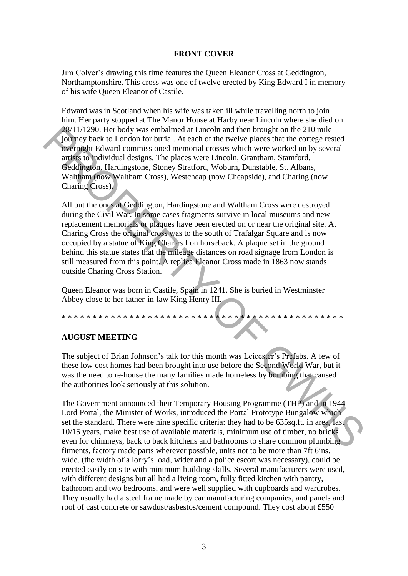#### **FRONT COVER**

Jim Colver's drawing this time features the Queen Eleanor Cross at Geddington, Northamptonshire. This cross was one of twelve erected by King Edward I in memory of his wife Queen Eleanor of Castile.

Edward was in Scotland when his wife was taken ill while travelling north to join him. Her party stopped at The Manor House at Harby near Lincoln where she died on 28/11/1290. Her body was embalmed at Lincoln and then brought on the 210 mile journey back to London for burial. At each of the twelve places that the cortege rested overnight Edward commissioned memorial crosses which were worked on by several artists to individual designs. The places were Lincoln, Grantham, Stamford, Geddington, Hardingstone, Stoney Stratford, Woburn, Dunstable, St. Albans, Waltham (now Waltham Cross), Westcheap (now Cheapside), and Charing (now Charing Cross).

All but the ones at Geddington, Hardingstone and Waltham Cross were destroyed during the Civil War. In some cases fragments survive in local museums and new replacement memorials or plaques have been erected on or near the original site. At Charing Cross the original cross was to the south of Trafalgar Square and is now occupied by a statue of King Charles I on horseback. A plaque set in the ground behind this statue states that the mileage distances on road signage from London is still measured from this point. A replica Eleanor Cross made in 1863 now stands outside Charing Cross Station. 28/11/1200. Her body was embalmed at Lincoln and then borough to nthe 210 mile<br>
26/11/1200. Her body several overlige rested<br>
compact be London for burial. At each of the twelve places that the cortege rested<br>
compact Eur

Queen Eleanor was born in Castile, Spain in 1241. She is buried in Westminster Abbey close to her father-in-law King Henry III.

## **AUGUST MEETING**

\* \* \* \* \* \* \* \* \* \* \* \* \* \*

The subject of Brian Johnson's talk for this month was Leicester's Prefabs. A few of these low cost homes had been brought into use before the Second World War, but it was the need to re-house the many families made homeless by bombing that caused the authorities look seriously at this solution.

The Government announced their Temporary Housing Programme (THP) and in 1944 Lord Portal, the Minister of Works, introduced the Portal Prototype Bungalow which set the standard. There were nine specific criteria: they had to be 635sq.ft. in area, last 10/15 years, make best use of available materials, minimum use of timber, no bricks even for chimneys, back to back kitchens and bathrooms to share common plumbing fitments, factory made parts wherever possible, units not to be more than 7ft 6ins. wide, (the width of a lorry's load, wider and a police escort was necessary), could be erected easily on site with minimum building skills. Several manufacturers were used, with different designs but all had a living room, fully fitted kitchen with pantry, bathroom and two bedrooms, and were well supplied with cupboards and wardrobes. They usually had a steel frame made by car manufacturing companies, and panels and roof of cast concrete or sawdust/asbestos/cement compound. They cost about £550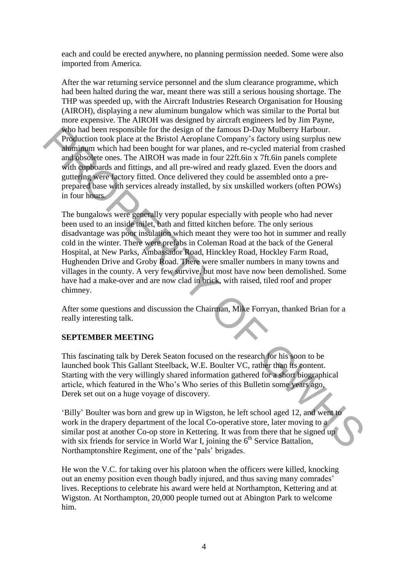each and could be erected anywhere, no planning permission needed. Some were also imported from America.

After the war returning service personnel and the slum clearance programme, which had been halted during the war, meant there was still a serious housing shortage. The THP was speeded up, with the Aircraft Industries Research Organisation for Housing (AIROH), displaying a new aluminum bungalow which was similar to the Portal but more expensive. The AIROH was designed by aircraft engineers led by Jim Payne, who had been responsible for the design of the famous D-Day Mulberry Harbour. Production took place at the Bristol Aeroplane Company's factory using surplus new aluminum which had been bought for war planes, and re-cycled material from crashed and obsolete ones. The AIROH was made in four 22ft.6in x 7ft.6in panels complete with cupboards and fittings, and all pre-wired and ready glazed. Even the doors and guttering were factory fitted. Once delivered they could be assembled onto a preprepared base with services already installed, by six unskilled workers (often POWs) in four hours.

The bungalows were generally very popular especially with people who had never been used to an inside toilet, bath and fitted kitchen before. The only serious disadvantage was poor insulation which meant they were too hot in summer and really cold in the winter. There were prefabs in Coleman Road at the back of the General Hospital, at New Parks, Ambassador Road, Hinckley Road, Hockley Farm Road, Hughenden Drive and Groby Road. There were smaller numbers in many towns and villages in the county. A very few survive, but most have now been demolished. Some have had a make-over and are now clad in brick, with raised, tiled roof and proper chimney. Who had been responsible for the design of the famous D-Day Mulberry Harbour.<br>
Froduction took place at the Bristol Acrophane Company's factory using surplus new<br>
aliminim which had been bought for war planes, and e-cycle

After some questions and discussion the Chairman, Mike Forryan, thanked Brian for a really interesting talk.

#### **SEPTEMBER MEETING**

This fascinating talk by Derek Seaton focused on the research for his soon to be launched book This Gallant Steelback, W.E. Boulter VC, rather than its content. Starting with the very willingly shared information gathered for a short biographical article, which featured in the Who's Who series of this Bulletin some years ago, Derek set out on a huge voyage of discovery.

'Billy' Boulter was born and grew up in Wigston, he left school aged 12, and went to work in the drapery department of the local Co-operative store, later moving to a similar post at another Co-op store in Kettering. It was from there that he signed up with six friends for service in World War I, joining the  $6<sup>th</sup>$  Service Battalion, Northamptonshire Regiment, one of the 'pals' brigades.

He won the V.C. for taking over his platoon when the officers were killed, knocking out an enemy position even though badly injured, and thus saving many comrades' lives. Receptions to celebrate his award were held at Northampton, Kettering and at Wigston. At Northampton, 20,000 people turned out at Abington Park to welcome him.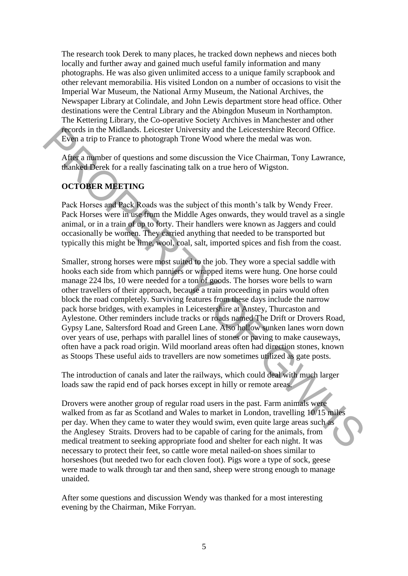The research took Derek to many places, he tracked down nephews and nieces both locally and further away and gained much useful family information and many photographs. He was also given unlimited access to a unique family scrapbook and other relevant memorabilia. His visited London on a number of occasions to visit the Imperial War Museum, the National Army Museum, the National Archives, the Newspaper Library at Colindale, and John Lewis department store head office. Other destinations were the Central Library and the Abingdon Museum in Northampton. The Kettering Library, the Co-operative Society Archives in Manchester and other records in the Midlands. Leicester University and the Leicestershire Record Office. Even a trip to France to photograph Trone Wood where the medal was won.

After a number of questions and some discussion the Vice Chairman, Tony Lawrance, thanked Derek for a really fascinating talk on a true hero of Wigston.

# **OCTOBER MEETING**

Pack Horses and Pack Roads was the subject of this month's talk by Wendy Freer. Pack Horses were in use from the Middle Ages onwards, they would travel as a single animal, or in a train of up to forty. Their handlers were known as Jaggers and could occasionally be women. They carried anything that needed to be transported but typically this might be lime, wool, coal, salt, imported spices and fish from the coast.

Smaller, strong horses were most suited to the job. They wore a special saddle with hooks each side from which panniers or wrapped items were hung. One horse could manage 224 lbs, 10 were needed for a ton of goods. The horses wore bells to warn other travellers of their approach, because a train proceeding in pairs would often block the road completely. Surviving features from these days include the narrow pack horse bridges, with examples in Leicestershire at Anstey, Thurcaston and Aylestone. Other reminders include tracks or roads named The Drift or Drovers Road, Gypsy Lane, Saltersford Road and Green Lane. Also hollow sunken lanes worn down over years of use, perhaps with parallel lines of stones or paving to make causeways, often have a pack road origin. Wild moorland areas often had direction stones, known as Stoops These useful aids to travellers are now sometimes utilized as gate posts. **Frontist line Midlands.** Leitester University and the Leicestershire Record Core<br>
Even a trip to France to photograph Trone Wood where the medal was von.<br>
After a manner of questions and some discussion the Viee Chairman,

The introduction of canals and later the railways, which could deal with much larger loads saw the rapid end of pack horses except in hilly or remote areas.

Drovers were another group of regular road users in the past. Farm animals were walked from as far as Scotland and Wales to market in London, travelling 10/15 miles per day. When they came to water they would swim, even quite large areas such as the Anglesey Straits. Drovers had to be capable of caring for the animals, from medical treatment to seeking appropriate food and shelter for each night. It was necessary to protect their feet, so cattle wore metal nailed-on shoes similar to horseshoes (but needed two for each cloven foot). Pigs wore a type of sock, geese were made to walk through tar and then sand, sheep were strong enough to manage unaided.

After some questions and discussion Wendy was thanked for a most interesting evening by the Chairman, Mike Forryan.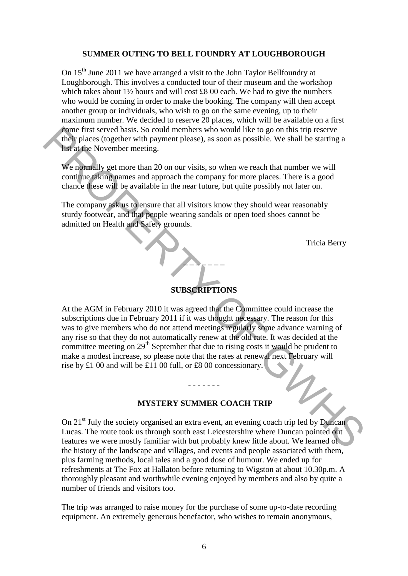#### **SUMMER OUTING TO BELL FOUNDRY AT LOUGHBOROUGH**

On 15<sup>th</sup> June 2011 we have arranged a visit to the John Taylor Bellfoundry at Loughborough. This involves a conducted tour of their museum and the workshop which takes about 1½ hours and will cost £8 00 each. We had to give the numbers who would be coming in order to make the booking. The company will then accept another group or individuals, who wish to go on the same evening, up to their maximum number. We decided to reserve 20 places, which will be available on a first come first served basis. So could members who would like to go on this trip reserve their places (together with payment please), as soon as possible. We shall be starting a list at the November meeting.

We normally get more than 20 on our visits, so when we reach that number we will continue taking names and approach the company for more places. There is a good chance these will be available in the near future, but quite possibly not later on.

The company ask us to ensure that all visitors know they should wear reasonably sturdy footwear, and that people wearing sandals or open toed shoes cannot be admitted on Health and Safety grounds.

Tricia Berry

## **SUBSCRIPTIONS**

**\_ \_ \_ \_ \_ \_ \_** 

At the AGM in February 2010 it was agreed that the Committee could increase the subscriptions due in February 2011 if it was thought necessary. The reason for this was to give members who do not attend meetings regularly some advance warning of any rise so that they do not automatically renew at the old rate. It was decided at the committee meeting on  $29<sup>th</sup>$  September that due to rising costs it would be prudent to make a modest increase, so please note that the rates at renewal next February will rise by £1 00 and will be £11 00 full, or £8 00 concessionary. Figure first served basis. So could members who would like to go on this trip reserve<br>their phase together with payment please), as soon as possible. We shall be starting a<br>list at the November meeting.<br>We normally get mo

#### **MYSTERY SUMMER COACH TRIP**

- - - - - - -

On  $21<sup>st</sup>$  July the society organised an extra event, an evening coach trip led by Duncan Lucas. The route took us through south east Leicestershire where Duncan pointed out features we were mostly familiar with but probably knew little about. We learned of the history of the landscape and villages, and events and people associated with them, plus farming methods, local tales and a good dose of humour. We ended up for refreshments at The Fox at Hallaton before returning to Wigston at about 10.30p.m. A thoroughly pleasant and worthwhile evening enjoyed by members and also by quite a number of friends and visitors too.

The trip was arranged to raise money for the purchase of some up-to-date recording equipment. An extremely generous benefactor, who wishes to remain anonymous,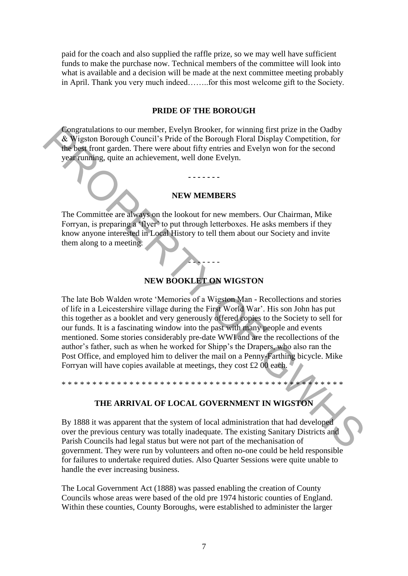paid for the coach and also supplied the raffle prize, so we may well have sufficient funds to make the purchase now. Technical members of the committee will look into what is available and a decision will be made at the next committee meeting probably in April. Thank you very much indeed……..for this most welcome gift to the Society.

#### **PRIDE OF THE BOROUGH**

Congratulations to our member, Evelyn Brooker, for winning first prize in the Oadby & Wigston Borough Council's Pride of the Borough Floral Display Competition, for the best front garden. There were about fifty entries and Evelyn won for the second year running, quite an achievement, well done Evelyn.

#### **NEW MEMBERS**

**- - - - - - -** 

The Committee are always on the lookout for new members. Our Chairman, Mike Forryan, is preparing a 'flyer' to put through letterboxes. He asks members if they know anyone interested in Local History to tell them about our Society and invite them along to a meeting.

#### **NEW BOOKLET ON WIGSTON**

- - - - - - -

The late Bob Walden wrote 'Memories of a Wigston Man - Recollections and stories of life in a Leicestershire village during the First World War'. His son John has put this together as a booklet and very generously offered copies to the Society to sell for our funds. It is a fascinating window into the past with many people and events mentioned. Some stories considerably pre-date WWI and are the recollections of the author's father, such as when he worked for Shipp's the Drapers, who also ran the Post Office, and employed him to deliver the mail on a Penny-Farthing bicycle. Mike Forryan will have copies available at meetings, they cost £2 00 each. **Congratulations to our member.** Evelyn Brooker, for winning first prize in the Oadby<br> **Congrigs to Brooker (for the Bost form**) and the Bost from the Source of the Bost from graden. There were about fifty entries and Eve

#### **THE ARRIVAL OF LOCAL GOVERNMENT IN WIGSTON**

\* \* \* \* \* \* \* \* \* \* \* \* \* \* \* \* \* \* \* \* \* \* \* \* \* \* \* \* \* \* \* \* \* \* \* \* \* \* \* \* \* \* \* \* \* \*

By 1888 it was apparent that the system of local administration that had developed over the previous century was totally inadequate. The existing Sanitary Districts and Parish Councils had legal status but were not part of the mechanisation of government. They were run by volunteers and often no-one could be held responsible for failures to undertake required duties. Also Quarter Sessions were quite unable to handle the ever increasing business.

The Local Government Act (1888) was passed enabling the creation of County Councils whose areas were based of the old pre 1974 historic counties of England. Within these counties, County Boroughs, were established to administer the larger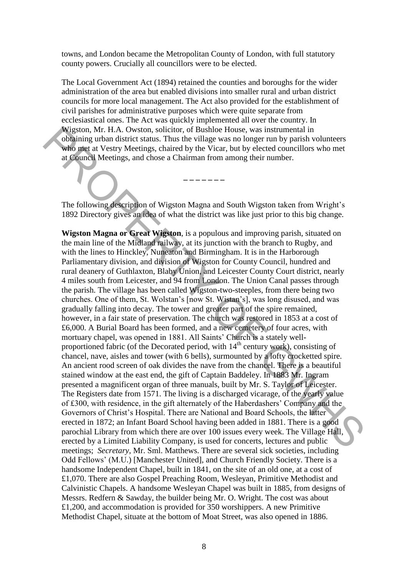towns, and London became the Metropolitan County of London, with full statutory county powers. Crucially all councillors were to be elected.

The Local Government Act (1894) retained the counties and boroughs for the wider administration of the area but enabled divisions into smaller rural and urban district councils for more local management. The Act also provided for the establishment of civil parishes for administrative purposes which were quite separate from ecclesiastical ones. The Act was quickly implemented all over the country. In Wigston, Mr. H.A. Owston, solicitor, of Bushloe House, was instrumental in obtaining urban district status. Thus the village was no longer run by parish volunteers who met at Vestry Meetings, chaired by the Vicar, but by elected councillors who met at Council Meetings, and chose a Chairman from among their number.

The following description of Wigston Magna and South Wigston taken from Wright's 1892 Directory gives an idea of what the district was like just prior to this big change.

**\_ \_ \_ \_ \_ \_ \_** 

**Wigston Magna or Great Wigston**, is a populous and improving parish, situated on the main line of the Midland railway, at its junction with the branch to Rugby, and with the lines to Hinckley, Nuneaton and Birmingham. It is in the Harborough Parliamentary division, and division of Wigston for County Council, hundred and rural deanery of Guthlaxton, Blaby Union, and Leicester County Court district, nearly 4 miles south from Leicester, and 94 from London. The Union Canal passes through the parish. The village has been called Wigston-two-steeples, from there being two churches. One of them, St. Wolstan's [now St. Wistan's], was long disused, and was gradually falling into decay. The tower and greater part of the spire remained, however, in a fair state of preservation. The church was restored in 1853 at a cost of £6,000. A Burial Board has been formed, and a new cemetery of four acres, with mortuary chapel, was opened in 1881. All Saints' Church is a stately wellproportioned fabric (of the Decorated period, with  $14<sup>th</sup>$  century work), consisting of chancel, nave, aisles and tower (with 6 bells), surmounted by a lofty crocketted spire. An ancient rood screen of oak divides the nave from the chancel. There is a beautiful stained window at the east end, the gift of Captain Baddeley. In 1883 Mr. Ingram presented a magnificent organ of three manuals, built by Mr. S. Taylor of Leicester. The Registers date from 1571. The living is a discharged vicarage, of the yearly value of £300, with residence, in the gift alternately of the Haberdashers' Company and the Governors of Christ's Hospital. There are National and Board Schools, the latter erected in 1872; an Infant Board School having been added in 1881. There is a good parochial Library from which there are over 100 issues every week. The Village Hall, erected by a Limited Liability Company, is used for concerts, lectures and public meetings; *Secretary,* Mr. Sml. Matthews. There are several sick societies, including Odd Fellows' (M.U.) [Manchester United], and Church Friendly Society. There is a handsome Independent Chapel, built in 1841, on the site of an old one, at a cost of £1,070. There are also Gospel Preaching Room, Wesleyan, Primitive Methodist and Calvinistic Chapels. A handsome Wesleyan Chapel was built in 1885, from designs of Messrs. Redfern & Sawday, the builder being Mr. O. Wright. The cost was about £1,200, and accommodation is provided for 350 worshippers. A new Primitive Methodist Chapel, situate at the bottom of Moat Street, was also opened in 1886. Wigston, Mr. H.A. Owston, soliciter, of Bushloe House, was instrumental in<br>each scheme of the gas and chosen and polynomial information and Meritary Meetings, chaired by the Vicar, but by elected councillors who met<br>at Co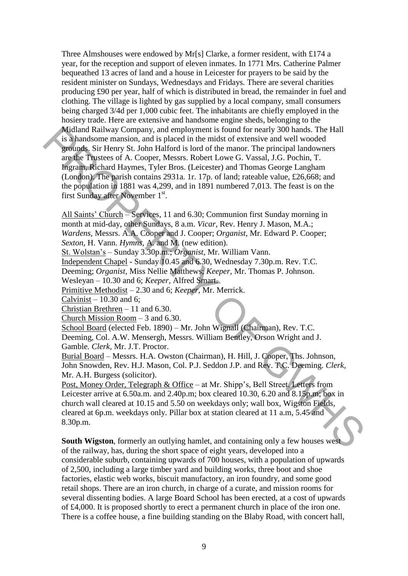Three Almshouses were endowed by Mr[s] Clarke, a former resident, with £174 a year, for the reception and support of eleven inmates. In 1771 Mrs. Catherine Palmer bequeathed 13 acres of land and a house in Leicester for prayers to be said by the resident minister on Sundays, Wednesdays and Fridays. There are several charities producing £90 per year, half of which is distributed in bread, the remainder in fuel and clothing. The village is lighted by gas supplied by a local company, small consumers being charged 3/4d per 1,000 cubic feet. The inhabitants are chiefly employed in the hosiery trade. Here are extensive and handsome engine sheds, belonging to the Midland Railway Company, and employment is found for nearly 300 hands. The Hall is a handsome mansion, and is placed in the midst of extensive and well wooded grounds. Sir Henry St. John Halford is lord of the manor. The principal landowners are the Trustees of A. Cooper, Messrs. Robert Lowe G. Vassal, J.G. Pochin, T. Ingram, Richard Haymes, Tyler Bros. (Leicester) and Thomas George Langham (London). The parish contains 2931a. 1r. 17p. of land; rateable value, £26,668; and the population in 1881 was 4,299, and in 1891 numbered 7,013. The feast is on the first Sunday after November 1<sup>st</sup>. Midland Railway Company, and employment is found for nearly 300 hands. The Hall<br>
is a handsome mansion, and is placed in the midst of extensive and well wooded<br>
grounds. Sir Henry St. John Halford is lord of the manor. Th

All Saints' Church – Services, 11 and 6.30; Communion first Sunday morning in month at mid-day, other Sundays, 8 a.m. *Vicar,* Rev. Henry J. Mason, M.A.; *Wardens,* Messrs. A.A. Cooper and J. Cooper; *Organist,* Mr. Edward P. Cooper; *Sexton,* H. Vann. *Hymns,* A. and M. (new edition).

St. Wolstan's – Sunday 3.30p.m.; *Organist,* Mr. William Vann.

Independent Chapel - Sunday 10.45 and 6.30, Wednesday 7.30p.m. Rev. T.C.

Deeming; *Organist,* Miss Nellie Matthews; *Keeper,* Mr. Thomas P. Johnson.

Wesleyan – 10.30 and 6; *Keeper,* Alfred Smart.

Primitive Methodist – 2.30 and 6; *Keeper,* Mr. Merrick.

Calvinist  $-10.30$  and 6;

Christian Brethren – 11 and 6.30.

Church Mission Room – 3 and 6.30.

School Board (elected Feb. 1890) – Mr. John Wignall (Chairman), Rev. T.C.

Deeming, Col. A.W. Mensergh, Messrs. William Bentley, Orson Wright and J. Gamble*. Clerk,* Mr. J.T. Proctor.

Burial Board – Messrs. H.A. Owston (Chairman), H. Hill, J. Cooper, Ths. Johnson, John Snowden, Rev. H.J. Mason, Col. P.J. Seddon J.P. and Rev. T.C. Deeming. *Clerk,* Mr. A.H. Burgess (solicitor).

Post, Money Order, Telegraph & Office – at Mr. Shipp's, Bell Street. Letters from Leicester arrive at 6.50a.m. and 2.40p.m; box cleared 10.30, 6.20 and 8.15p.m; box in church wall cleared at 10.15 and 5.50 on weekdays only; wall box, Wigston Fields, cleared at 6p.m. weekdays only. Pillar box at station cleared at 11 a.m, 5.45 and 8.30p.m.

**South Wigston**, formerly an outlying hamlet, and containing only a few houses west of the railway, has, during the short space of eight years, developed into a considerable suburb, containing upwards of 700 houses, with a population of upwards of 2,500, including a large timber yard and building works, three boot and shoe factories, elastic web works, biscuit manufactory, an iron foundry, and some good retail shops. There are an iron church, in charge of a curate, and mission rooms for several dissenting bodies. A large Board School has been erected, at a cost of upwards of £4,000. It is proposed shortly to erect a permanent church in place of the iron one. There is a coffee house, a fine building standing on the Blaby Road, with concert hall,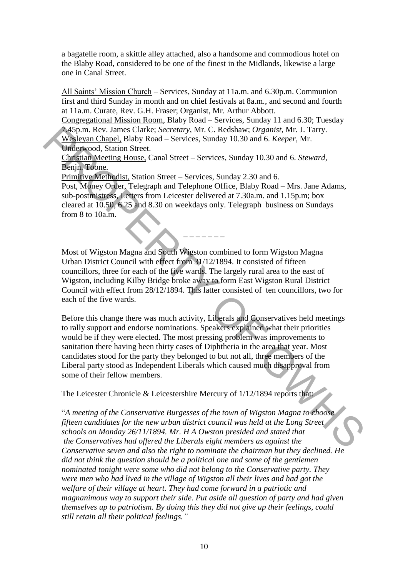a bagatelle room, a skittle alley attached, also a handsome and commodious hotel on the Blaby Road, considered to be one of the finest in the Midlands, likewise a large one in Canal Street.

All Saints' Mission Church – Services, Sunday at 11a.m. and 6.30p.m. Communion first and third Sunday in month and on chief festivals at 8a.m., and second and fourth at 11a.m. Curate, Rev. G.H. Fraser; Organist, Mr. Arthur Abbott.

Congregational Mission Room, Blaby Road – Services, Sunday 11 and 6.30; Tuesday 7.45p.m. Rev. James Clarke; *Secretary,* Mr. C. Redshaw; *Organist,* Mr. J. Tarry. Wesleyan Chapel, Blaby Road – Services, Sunday 10.30 and 6. *Keeper,* Mr. Underwood, Station Street.

Christian Meeting House, Canal Street – Services, Sunday 10.30 and 6. *Steward,* Benjn. Toone.

Primitive Methodist, Station Street – Services, Sunday 2.30 and 6.

Post, Money Order, Telegraph and Telephone Office, Blaby Road – Mrs. Jane Adams, sub-postmistress, Letters from Leicester delivered at 7.30a.m. and 1.15p.m; box cleared at 10.50, 6.25 and 8.30 on weekdays only. Telegraph business on Sundays from 8 to 10a.m.

**\_ \_ \_ \_ \_ \_ \_** 

Most of Wigston Magna and South Wigston combined to form Wigston Magna Urban District Council with effect from 31/12/1894. It consisted of fifteen councillors, three for each of the five wards. The largely rural area to the east of Wigston, including Kilby Bridge broke away to form East Wigston Rural District Council with effect from 28/12/1894. This latter consisted of ten councillors, two for each of the five wards.

Before this change there was much activity, Liberals and Conservatives held meetings to rally support and endorse nominations. Speakers explained what their priorities would be if they were elected. The most pressing problem was improvements to sanitation there having been thirty cases of Diphtheria in the area that year. Most candidates stood for the party they belonged to but not all, three members of the Liberal party stood as Independent Liberals which caused much disapproval from some of their fellow members. 34 Spm. Rev. James Claude; Sceretary, Mr. C. Redshaw; Organist, Mr. J. Tary.<br>Weakeyam Changel, Blaby Road – Services, Sunday 10.30 and 6. Keeper, Mr.<br>Underwood, Station Street.<br>Christian Meeting House.<br>Christian Meeting H

The Leicester Chronicle & Leicestershire Mercury of  $1/12/1894$  reports that:

"*A meeting of the Conservative Burgesses of the town of Wigston Magna to choose fifteen candidates for the new urban district council was held at the Long Street schools on Monday 26/11/1894. Mr. H A Owston presided and stated that the Conservatives had offered the Liberals eight members as against the Conservative seven and also the right to nominate the chairman but they declined. He did not think the question should be a political one and some of the gentlemen nominated tonight were some who did not belong to the Conservative party. They were men who had lived in the village of Wigston all their lives and had got the welfare of their village at heart. They had come forward in a patriotic and magnanimous way to support their side. Put aside all question of party and had given themselves up to patriotism. By doing this they did not give up their feelings, could still retain all their political feelings."*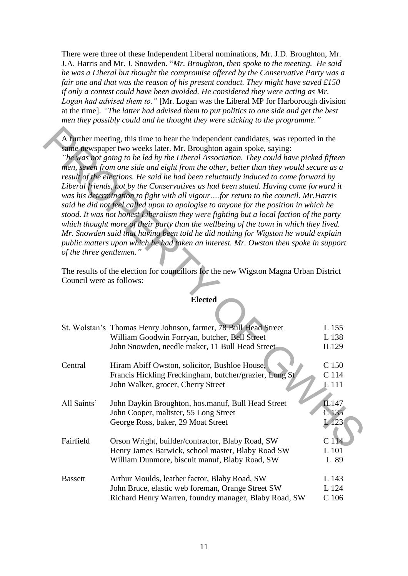There were three of these Independent Liberal nominations, Mr. J.D. Broughton, Mr. J.A. Harris and Mr. J. Snowden. "*Mr. Broughton, then spoke to the meeting. He said he was a Liberal but thought the compromise offered by the Conservative Party was a fair one and that was the reason of his present conduct. They might have saved £150 if only a contest could have been avoided. He considered they were acting as Mr. Logan had advised them to."* [Mr. Logan was the Liberal MP for Harborough division at the time]. *"The latter had advised them to put politics to one side and get the best men they possibly could and he thought they were sticking to the programme."*

# **Elected**

|                          | A further meeting, this time to hear the independent candidates, was reported in the<br>same newspaper two weeks later. Mr. Broughton again spoke, saying:<br>"he was not going to be led by the Liberal Association. They could have picked fifteen<br>men, seven from one side and eight from the other, better than they would secure as a<br>result of the elections. He said he had been reluctantly induced to come forward by<br>Liberal friends, not by the Conservatives as had been stated. Having come forward it<br>was his determination to fight with all vigourfor return to the council. Mr.Harris<br>said he did not feel called upon to apologise to anyone for the position in which he<br>stood. It was not honest Liberalism they were fighting but a local faction of the party<br>which thought more of their party than the wellbeing of the town in which they lived.<br>Mr. Snowden said that having been told he did nothing for Wigston he would explain<br>public matters upon which he had taken an interest. Mr. Owston then spoke in support<br>of the three gentlemen.'<br>The results of the election for councillors for the new Wigston Magna Urban District |                                    |  |
|--------------------------|--------------------------------------------------------------------------------------------------------------------------------------------------------------------------------------------------------------------------------------------------------------------------------------------------------------------------------------------------------------------------------------------------------------------------------------------------------------------------------------------------------------------------------------------------------------------------------------------------------------------------------------------------------------------------------------------------------------------------------------------------------------------------------------------------------------------------------------------------------------------------------------------------------------------------------------------------------------------------------------------------------------------------------------------------------------------------------------------------------------------------------------------------------------------------------------------------|------------------------------------|--|
| Council were as follows: |                                                                                                                                                                                                                                                                                                                                                                                                                                                                                                                                                                                                                                                                                                                                                                                                                                                                                                                                                                                                                                                                                                                                                                                                  |                                    |  |
|                          | <b>Elected</b>                                                                                                                                                                                                                                                                                                                                                                                                                                                                                                                                                                                                                                                                                                                                                                                                                                                                                                                                                                                                                                                                                                                                                                                   |                                    |  |
|                          | St. Wolstan's Thomas Henry Johnson, farmer, 78 Bull Head Street<br>William Goodwin Forryan, butcher, Bell Street<br>John Snowden, needle maker, 11 Bull Head Street                                                                                                                                                                                                                                                                                                                                                                                                                                                                                                                                                                                                                                                                                                                                                                                                                                                                                                                                                                                                                              | L 155<br>L 138<br>IL129            |  |
| Central                  | Hiram Abiff Owston, solicitor, Bushloe House,<br>Francis Hickling Freckingham, butcher/grazier, Long St<br>John Walker, grocer, Cherry Street                                                                                                                                                                                                                                                                                                                                                                                                                                                                                                                                                                                                                                                                                                                                                                                                                                                                                                                                                                                                                                                    | C 150<br>C 114<br>L 111            |  |
| All Saints'              | John Daykin Broughton, hos.manuf, Bull Head Street<br>John Cooper, maltster, 55 Long Street<br>George Ross, baker, 29 Moat Street                                                                                                                                                                                                                                                                                                                                                                                                                                                                                                                                                                                                                                                                                                                                                                                                                                                                                                                                                                                                                                                                | IL147<br>C <sub>135</sub><br>L 123 |  |
| Fairfield                | Orson Wright, builder/contractor, Blaby Road, SW<br>Henry James Barwick, school master, Blaby Road SW<br>William Dunmore, biscuit manuf, Blaby Road, SW                                                                                                                                                                                                                                                                                                                                                                                                                                                                                                                                                                                                                                                                                                                                                                                                                                                                                                                                                                                                                                          | C <sub>114</sub><br>L 101<br>L 89  |  |
| <b>Bassett</b>           | Arthur Moulds, leather factor, Blaby Road, SW<br>John Bruce, elastic web foreman, Orange Street SW<br>Richard Henry Warren, foundry manager, Blaby Road, SW                                                                                                                                                                                                                                                                                                                                                                                                                                                                                                                                                                                                                                                                                                                                                                                                                                                                                                                                                                                                                                      | L 143<br>L 124<br>C <sub>106</sub> |  |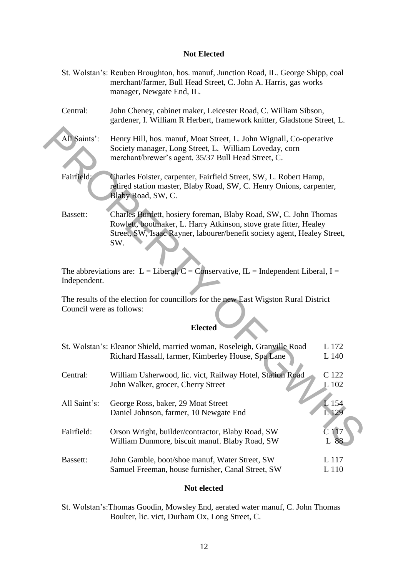#### **Not Elected**

- St. Wolstan's: Reuben Broughton, hos. manuf, Junction Road, IL. George Shipp, coal merchant/farmer, Bull Head Street, C. John A. Harris, gas works manager, Newgate End, IL.
- Central: John Cheney, cabinet maker, Leicester Road, C. William Sibson, gardener, I. William R Herbert, framework knitter, Gladstone Street, L.
- All Saints': Henry Hill, hos. manuf, Moat Street, L. John Wignall, Co-operative Society manager, Long Street, L. William Loveday, corn merchant/brewer's agent, 35/37 Bull Head Street, C.
- Fairfield: Charles Foister, carpenter, Fairfield Street, SW, L. Robert Hamp, retired station master, Blaby Road, SW, C. Henry Onions, carpenter, Blaby Road, SW, C.
- Bassett: Charles Burdett, hosiery foreman, Blaby Road, SW, C. John Thomas Rowlett, bootmaker, L. Harry Atkinson, stove grate fitter, Healey Street, SW, Isaac Rayner, labourer/benefit society agent, Healey Street, SW.

#### **Elected**

| All Saints':                                                                                                                      | Henry Hill, hos. manuf, Moat Street, L. John Wignall, Co-operative<br>Society manager, Long Street, L. William Loveday, corn<br>merchant/brewer's agent, 35/37 Bull Head Street, C.                                      |                |  |
|-----------------------------------------------------------------------------------------------------------------------------------|--------------------------------------------------------------------------------------------------------------------------------------------------------------------------------------------------------------------------|----------------|--|
| Fairfield:                                                                                                                        | Charles Foister, carpenter, Fairfield Street, SW, L. Robert Hamp,<br>retired station master, Blaby Road, SW, C. Henry Onions, carpenter,<br>Blaby Road, SW, C.                                                           |                |  |
| Bassett:                                                                                                                          | Charles Burdett, hosiery foreman, Blaby Road, SW, C. John Thomas<br>Rowlett, bootmaker, L. Harry Atkinson, stove grate fitter, Healey<br>Street, SW, Isaac Rayner, labourer/benefit society agent, Healey Street,<br>SW. |                |  |
| Independent.                                                                                                                      | The abbreviations are: L = Liberal, C = Conservative, IL = Independent Liberal, I =                                                                                                                                      |                |  |
| The results of the election for councillors for the new East Wigston Rural District<br>Council were as follows:<br><b>Elected</b> |                                                                                                                                                                                                                          |                |  |
|                                                                                                                                   | St. Wolstan's: Eleanor Shield, married woman, Roseleigh, Granville Road<br>Richard Hassall, farmer, Kimberley House, Spa Lane                                                                                            | L 172<br>L 140 |  |
| Central:                                                                                                                          | William Usherwood, lic. vict, Railway Hotel, Station Road<br>John Walker, grocer, Cherry Street                                                                                                                          | C 122<br>L 102 |  |
| All Saint's:                                                                                                                      | George Ross, baker, 29 Moat Street<br>Daniel Johnson, farmer, 10 Newgate End                                                                                                                                             | L 154<br>L 129 |  |
| Fairfield:                                                                                                                        | Orson Wright, builder/contractor, Blaby Road, SW<br>William Dunmore, biscuit manuf. Blaby Road, SW                                                                                                                       | C 117<br>L 88  |  |
| Bassett:                                                                                                                          | John Gamble, boot/shoe manuf, Water Street, SW<br>Samuel Freeman, house furnisher, Canal Street, SW                                                                                                                      | L 117<br>L 110 |  |

#### **Not elected**

St. Wolstan's:Thomas Goodin, Mowsley End, aerated water manuf, C. John Thomas Boulter, lic. vict, Durham Ox, Long Street, C.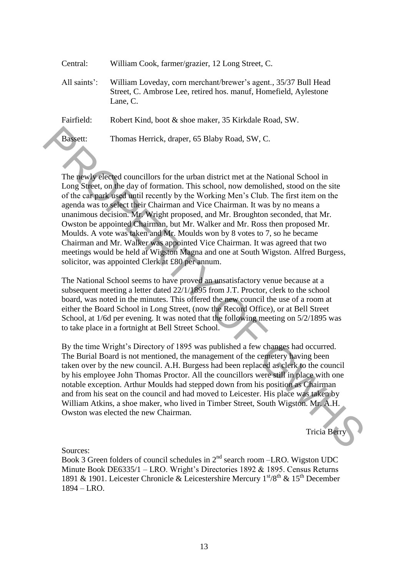| Central:        | William Cook, farmer/grazier, 12 Long Street, C.                                                                                                |
|-----------------|-------------------------------------------------------------------------------------------------------------------------------------------------|
| All saints':    | William Loveday, corn merchant/brewer's agent., 35/37 Bull Head<br>Street, C. Ambrose Lee, retired hos. manuf, Homefield, Aylestone<br>Lane, C. |
| Fairfield:      | Robert Kind, boot & shoe maker, 35 Kirkdale Road, SW.                                                                                           |
| <b>Bassett:</b> | Thomas Herrick, draper, 65 Blaby Road, SW, C.                                                                                                   |

The newly elected councillors for the urban district met at the National School in Long Street, on the day of formation. This school, now demolished, stood on the site of the car park used until recently by the Working Men's Club. The first item on the agenda was to select their Chairman and Vice Chairman. It was by no means a unanimous decision. Mr. Wright proposed, and Mr. Broughton seconded, that Mr. Owston be appointed Chairman, but Mr. Walker and Mr. Ross then proposed Mr. Moulds. A vote was taken and Mr. Moulds won by 8 votes to 7, so he became Chairman and Mr. Walker was appointed Vice Chairman. It was agreed that two meetings would be held at Wigston Magna and one at South Wigston. Alfred Burgess, solicitor, was appointed Clerk at £80 per annum. Bargett: Thomas Herrick, draper, 65 Blaby Road, SW, C.<br>
The movily elected councillors for the urban district met at the National School in<br>
Long Street, on the day of formation. This school, now demolished, stood on the

The National School seems to have proved an unsatisfactory venue because at a subsequent meeting a letter dated 22/1/1895 from J.T. Proctor, clerk to the school board, was noted in the minutes. This offered the new council the use of a room at either the Board School in Long Street, (now the Record Office), or at Bell Street School, at 1/6d per evening. It was noted that the following meeting on 5/2/1895 was to take place in a fortnight at Bell Street School.

By the time Wright's Directory of 1895 was published a few changes had occurred. The Burial Board is not mentioned, the management of the cemetery having been taken over by the new council. A.H. Burgess had been replaced as clerk to the council by his employee John Thomas Proctor. All the councillors were still in place with one notable exception. Arthur Moulds had stepped down from his position as Chairman and from his seat on the council and had moved to Leicester. His place was taken by William Atkins, a shoe maker, who lived in Timber Street, South Wigston. Mr. A.H. Owston was elected the new Chairman.

Tricia Berry

Sources:

Book 3 Green folders of council schedules in  $2<sup>nd</sup>$  search room –LRO. Wigston UDC Minute Book DE6335/1 – LRO. Wright's Directories 1892 & 1895. Census Returns 1891 & 1901. Leicester Chronicle & Leicestershire Mercury  $1^{st}/8^{th}$  &  $15^{th}$  December 1894 – LRO.